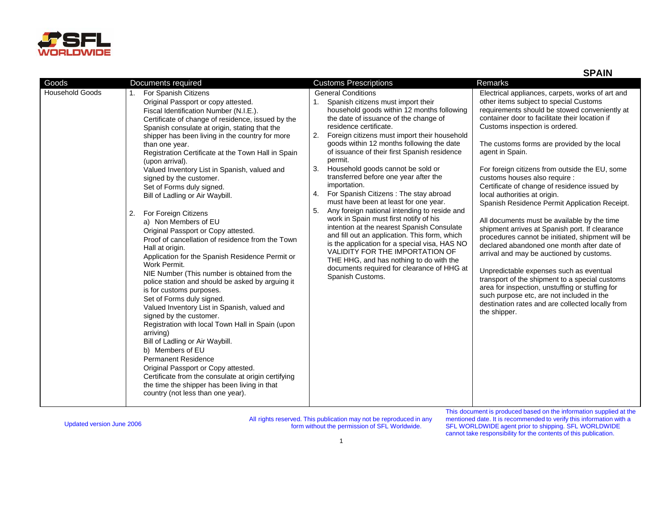

**SPAIN**

| Goods                  | Documents required                                                                                                                                                                                                                                                                                                                                                                                                                                                                                                                                                                                                                                                                                                                                                                                                                                                                                                                                                                                                                                                                                                                                                                                                                                                                                                           | <b>Customs Prescriptions</b>                                                                                                                                                                                                                                                                                                                                                                                                                                                                                                                                                                                                                                                                                                                                                                                                                                                                                                               | <b>Remarks</b>                                                                                                                                                                                                                                                                                                                                                                                                                                                                                                                                                                                                                                                                                                                                                                                                                                                                                                                                                                                                                        |
|------------------------|------------------------------------------------------------------------------------------------------------------------------------------------------------------------------------------------------------------------------------------------------------------------------------------------------------------------------------------------------------------------------------------------------------------------------------------------------------------------------------------------------------------------------------------------------------------------------------------------------------------------------------------------------------------------------------------------------------------------------------------------------------------------------------------------------------------------------------------------------------------------------------------------------------------------------------------------------------------------------------------------------------------------------------------------------------------------------------------------------------------------------------------------------------------------------------------------------------------------------------------------------------------------------------------------------------------------------|--------------------------------------------------------------------------------------------------------------------------------------------------------------------------------------------------------------------------------------------------------------------------------------------------------------------------------------------------------------------------------------------------------------------------------------------------------------------------------------------------------------------------------------------------------------------------------------------------------------------------------------------------------------------------------------------------------------------------------------------------------------------------------------------------------------------------------------------------------------------------------------------------------------------------------------------|---------------------------------------------------------------------------------------------------------------------------------------------------------------------------------------------------------------------------------------------------------------------------------------------------------------------------------------------------------------------------------------------------------------------------------------------------------------------------------------------------------------------------------------------------------------------------------------------------------------------------------------------------------------------------------------------------------------------------------------------------------------------------------------------------------------------------------------------------------------------------------------------------------------------------------------------------------------------------------------------------------------------------------------|
| <b>Household Goods</b> | For Spanish Citizens<br>Original Passport or copy attested.<br>Fiscal Identification Number (N.I.E.).<br>Certificate of change of residence, issued by the<br>Spanish consulate at origin, stating that the<br>shipper has been living in the country for more<br>than one year.<br>Registration Certificate at the Town Hall in Spain<br>(upon arrival).<br>Valued Inventory List in Spanish, valued and<br>signed by the customer.<br>Set of Forms duly signed.<br>Bill of Ladling or Air Waybill.<br>For Foreign Citizens<br>2.<br>a) Non Members of EU<br>Original Passport or Copy attested.<br>Proof of cancellation of residence from the Town<br>Hall at origin.<br>Application for the Spanish Residence Permit or<br>Work Permit.<br>NIE Number (This number is obtained from the<br>police station and should be asked by arguing it<br>is for customs purposes.<br>Set of Forms duly signed.<br>Valued Inventory List in Spanish, valued and<br>signed by the customer.<br>Registration with local Town Hall in Spain (upon<br>arriving)<br>Bill of Ladling or Air Waybill.<br>b) Members of EU<br><b>Permanent Residence</b><br>Original Passport or Copy attested.<br>Certificate from the consulate at origin certifying<br>the time the shipper has been living in that<br>country (not less than one year). | <b>General Conditions</b><br>Spanish citizens must import their<br>household goods within 12 months following<br>the date of issuance of the change of<br>residence certificate.<br>Foreign citizens must import their household<br>2.<br>goods within 12 months following the date<br>of issuance of their first Spanish residence<br>permit.<br>Household goods cannot be sold or<br>3.<br>transferred before one year after the<br>importation.<br>For Spanish Citizens: The stay abroad<br>4.<br>must have been at least for one year.<br>Any foreign national intending to reside and<br>5.<br>work in Spain must first notify of his<br>intention at the nearest Spanish Consulate<br>and fill out an application. This form, which<br>is the application for a special visa, HAS NO<br>VALIDITY FOR THE IMPORTATION OF<br>THE HHG, and has nothing to do with the<br>documents required for clearance of HHG at<br>Spanish Customs. | Electrical appliances, carpets, works of art and<br>other items subject to special Customs<br>requirements should be stowed conveniently at<br>container door to facilitate their location if<br>Customs inspection is ordered.<br>The customs forms are provided by the local<br>agent in Spain.<br>For foreign citizens from outside the EU, some<br>customs houses also require :<br>Certificate of change of residence issued by<br>local authorities at origin.<br>Spanish Residence Permit Application Receipt.<br>All documents must be available by the time<br>shipment arrives at Spanish port. If clearance<br>procedures cannot be initiated, shipment will be<br>declared abandoned one month after date of<br>arrival and may be auctioned by customs.<br>Unpredictable expenses such as eventual<br>transport of the shipment to a special customs<br>area for inspection, unstuffing or stuffing for<br>such purpose etc, are not included in the<br>destination rates and are collected locally from<br>the shipper. |

Updated version June 2006 All rights reserved. This publication may not be reproduced in any form without the permission of SFL Worldwide.

This document is produced based on the information supplied at the mentioned date. It is recommended to verify this information with a SFL WORLDWIDE agent prior to shipping. SFL WORLDWIDE cannot take responsibility for the contents of this publication.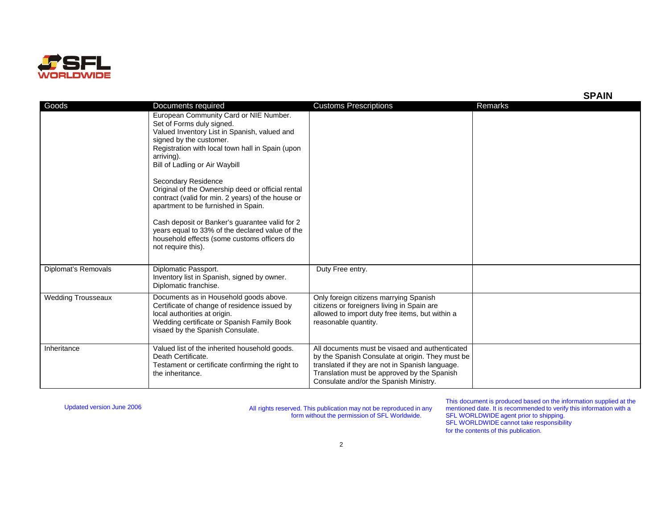

| Goods                     | Documents required<br>European Community Card or NIE Number.<br>Set of Forms duly signed.<br>Valued Inventory List in Spanish, valued and<br>signed by the customer.<br>Registration with local town hall in Spain (upon<br>arriving).<br>Bill of Ladling or Air Waybill<br>Secondary Residence<br>Original of the Ownership deed or official rental<br>contract (valid for min. 2 years) of the house or<br>apartment to be furnished in Spain.<br>Cash deposit or Banker's guarantee valid for 2<br>years equal to 33% of the declared value of the<br>household effects (some customs officers do<br>not require this). | <b>Customs Prescriptions</b>                                                                                                                                                                                                                   | Remarks |
|---------------------------|----------------------------------------------------------------------------------------------------------------------------------------------------------------------------------------------------------------------------------------------------------------------------------------------------------------------------------------------------------------------------------------------------------------------------------------------------------------------------------------------------------------------------------------------------------------------------------------------------------------------------|------------------------------------------------------------------------------------------------------------------------------------------------------------------------------------------------------------------------------------------------|---------|
| Diplomat's Removals       | Diplomatic Passport.<br>Inventory list in Spanish, signed by owner.<br>Diplomatic franchise.                                                                                                                                                                                                                                                                                                                                                                                                                                                                                                                               | Duty Free entry.                                                                                                                                                                                                                               |         |
| <b>Wedding Trousseaux</b> | Documents as in Household goods above.<br>Certificate of change of residence issued by<br>local authorities at origin.<br>Wedding certificate or Spanish Family Book<br>visaed by the Spanish Consulate.                                                                                                                                                                                                                                                                                                                                                                                                                   | Only foreign citizens marrying Spanish<br>citizens or foreigners living in Spain are<br>allowed to import duty free items, but within a<br>reasonable quantity.                                                                                |         |
| Inheritance               | Valued list of the inherited household goods.<br>Death Certificate.<br>Testament or certificate confirming the right to<br>the inheritance.                                                                                                                                                                                                                                                                                                                                                                                                                                                                                | All documents must be visaed and authenticated<br>by the Spanish Consulate at origin. They must be<br>translated if they are not in Spanish language.<br>Translation must be approved by the Spanish<br>Consulate and/or the Spanish Ministry. |         |

Updated version June 2006 All rights reserved. This publication may not be reproduced in any form without the permission of SFL Worldwide.

This document is produced based on the information supplied at the mentioned date. It is recommended to verify this information with a SFL WORLDWIDE agent prior to shipping. SFL WORLDWIDE cannot take responsibility for the contents of this publication.

**SPAIN**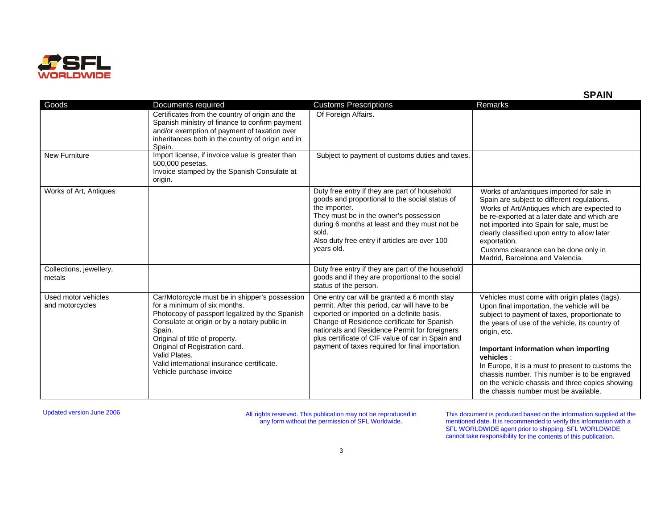

|                                        |                                                                                                                                                                                                                                                                                                                                                           |                                                                                                                                                                                                                                                                                                                                                      | יוור וט                                                                                                                                                                                                                                                                                                                                                                           |
|----------------------------------------|-----------------------------------------------------------------------------------------------------------------------------------------------------------------------------------------------------------------------------------------------------------------------------------------------------------------------------------------------------------|------------------------------------------------------------------------------------------------------------------------------------------------------------------------------------------------------------------------------------------------------------------------------------------------------------------------------------------------------|-----------------------------------------------------------------------------------------------------------------------------------------------------------------------------------------------------------------------------------------------------------------------------------------------------------------------------------------------------------------------------------|
| Goods                                  | Documents required                                                                                                                                                                                                                                                                                                                                        | <b>Customs Prescriptions</b>                                                                                                                                                                                                                                                                                                                         | <b>Remarks</b>                                                                                                                                                                                                                                                                                                                                                                    |
|                                        | Certificates from the country of origin and the<br>Spanish ministry of finance to confirm payment<br>and/or exemption of payment of taxation over<br>inheritances both in the country of origin and in<br>Spain.                                                                                                                                          | Of Foreign Affairs.                                                                                                                                                                                                                                                                                                                                  |                                                                                                                                                                                                                                                                                                                                                                                   |
| <b>New Furniture</b>                   | Import license, if invoice value is greater than<br>500,000 pesetas.<br>Invoice stamped by the Spanish Consulate at<br>origin.                                                                                                                                                                                                                            | Subject to payment of customs duties and taxes.                                                                                                                                                                                                                                                                                                      |                                                                                                                                                                                                                                                                                                                                                                                   |
| Works of Art, Antiques                 |                                                                                                                                                                                                                                                                                                                                                           | Duty free entry if they are part of household<br>goods and proportional to the social status of<br>the importer.<br>They must be in the owner's possession<br>during 6 months at least and they must not be<br>sold.<br>Also duty free entry if articles are over 100<br>years old.                                                                  | Works of art/antiques imported for sale in<br>Spain are subject to different regulations.<br>Works of Art/Antiques which are expected to<br>be re-exported at a later date and which are<br>not imported into Spain for sale, must be<br>clearly classified upon entry to allow later<br>exportation.<br>Customs clearance can be done only in<br>Madrid, Barcelona and Valencia. |
| Collections, jewellery,<br>metals      |                                                                                                                                                                                                                                                                                                                                                           | Duty free entry if they are part of the household<br>goods and if they are proportional to the social<br>status of the person.                                                                                                                                                                                                                       |                                                                                                                                                                                                                                                                                                                                                                                   |
| Used motor vehicles<br>and motorcycles | Car/Motorcycle must be in shipper's possession<br>for a minimum of six months.<br>Photocopy of passport legalized by the Spanish<br>Consulate at origin or by a notary public in<br>Spain.<br>Original of title of property.<br>Original of Registration card.<br>Valid Plates.<br>Valid international insurance certificate.<br>Vehicle purchase invoice | One entry car will be granted a 6 month stay<br>permit. After this period, car will have to be<br>exported or imported on a definite basis.<br>Change of Residence certificate for Spanish<br>nationals and Residence Permit for foreigners<br>plus certificate of CIF value of car in Spain and<br>payment of taxes required for final importation. | Vehicles must come with origin plates (tags).<br>Upon final importation, the vehicle will be<br>subject to payment of taxes, proportionate to<br>the years of use of the vehicle, its country of<br>origin, etc.<br>Important information when importing                                                                                                                          |
|                                        |                                                                                                                                                                                                                                                                                                                                                           |                                                                                                                                                                                                                                                                                                                                                      | vehicles :<br>In Europe, it is a must to present to customs the<br>chassis number. This number is to be engraved<br>on the vehicle chassis and three copies showing<br>the chassis number must be available.                                                                                                                                                                      |

Updated version June 2006 All rights reserved. This publication may not be reproduced in any form without the permission of SFL Worldwide.

This document is produced based on the information supplied at the mentioned date. It is recommended to verify this information with a SFL WORLDWIDE agent prior to shipping. SFL WORLDWIDE cannot take responsibility for the contents of this publication.